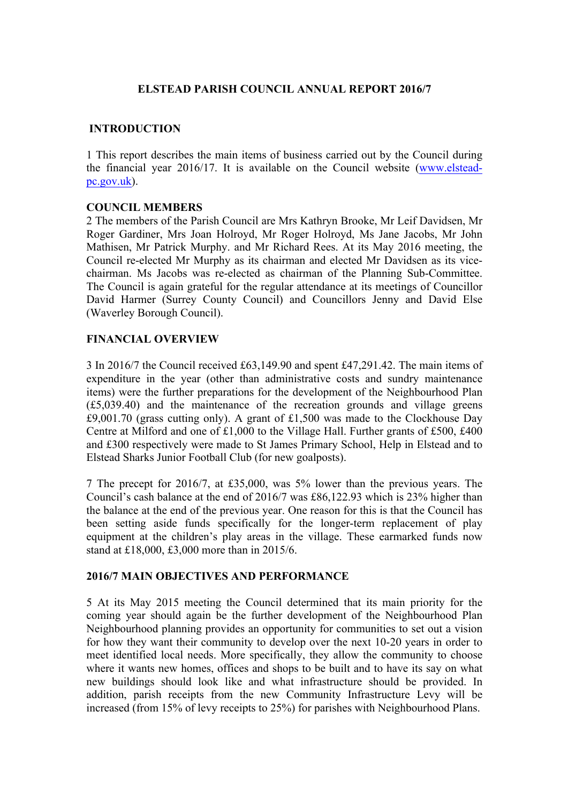# **ELSTEAD PARISH COUNCIL ANNUAL REPORT 2016/7**

### **INTRODUCTION**

1 This report describes the main items of business carried out by the Council during the financial year 2016/17. It is available on the Council website (www.elsteadpc.gov.uk).

#### **COUNCIL MEMBERS**

2 The members of the Parish Council are Mrs Kathryn Brooke, Mr Leif Davidsen, Mr Roger Gardiner, Mrs Joan Holroyd, Mr Roger Holroyd, Ms Jane Jacobs, Mr John Mathisen, Mr Patrick Murphy. and Mr Richard Rees. At its May 2016 meeting, the Council re-elected Mr Murphy as its chairman and elected Mr Davidsen as its vicechairman. Ms Jacobs was re-elected as chairman of the Planning Sub-Committee. The Council is again grateful for the regular attendance at its meetings of Councillor David Harmer (Surrey County Council) and Councillors Jenny and David Else (Waverley Borough Council).

### **FINANCIAL OVERVIEW**

3 In 2016/7 the Council received £63,149.90 and spent £47,291.42. The main items of expenditure in the year (other than administrative costs and sundry maintenance items) were the further preparations for the development of the Neighbourhood Plan (£5,039.40) and the maintenance of the recreation grounds and village greens £9,001.70 (grass cutting only). A grant of £1,500 was made to the Clockhouse Day Centre at Milford and one of £1,000 to the Village Hall. Further grants of £500, £400 and £300 respectively were made to St James Primary School, Help in Elstead and to Elstead Sharks Junior Football Club (for new goalposts).

7 The precept for 2016/7, at £35,000, was 5% lower than the previous years. The Council's cash balance at the end of 2016/7 was £86,122.93 which is 23% higher than the balance at the end of the previous year. One reason for this is that the Council has been setting aside funds specifically for the longer-term replacement of play equipment at the children's play areas in the village. These earmarked funds now stand at £18,000, £3,000 more than in 2015/6.

#### **2016/7 MAIN OBJECTIVES AND PERFORMANCE**

5 At its May 2015 meeting the Council determined that its main priority for the coming year should again be the further development of the Neighbourhood Plan Neighbourhood planning provides an opportunity for communities to set out a vision for how they want their community to develop over the next 10-20 years in order to meet identified local needs. More specifically, they allow the community to choose where it wants new homes, offices and shops to be built and to have its say on what new buildings should look like and what infrastructure should be provided. In addition, parish receipts from the new Community Infrastructure Levy will be increased (from 15% of levy receipts to 25%) for parishes with Neighbourhood Plans.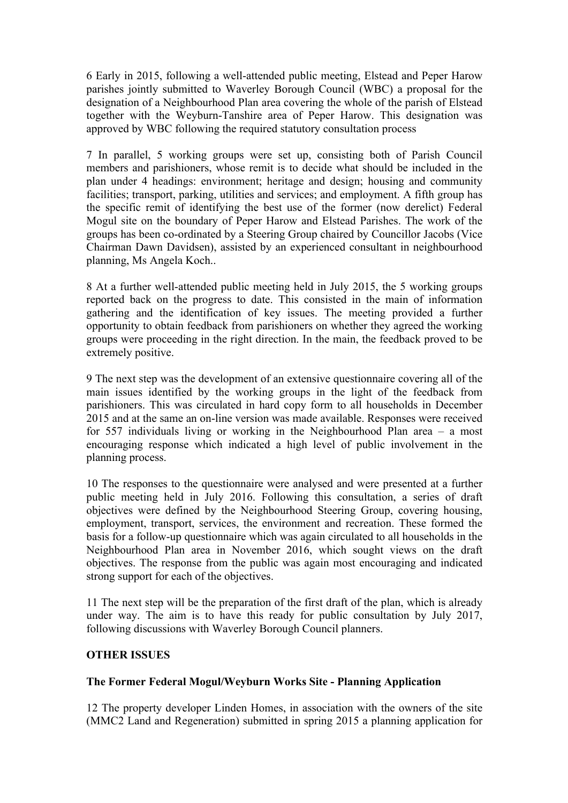6 Early in 2015, following a well-attended public meeting, Elstead and Peper Harow parishes jointly submitted to Waverley Borough Council (WBC) a proposal for the designation of a Neighbourhood Plan area covering the whole of the parish of Elstead together with the Weyburn-Tanshire area of Peper Harow. This designation was approved by WBC following the required statutory consultation process

7 In parallel, 5 working groups were set up, consisting both of Parish Council members and parishioners, whose remit is to decide what should be included in the plan under 4 headings: environment; heritage and design; housing and community facilities; transport, parking, utilities and services; and employment. A fifth group has the specific remit of identifying the best use of the former (now derelict) Federal Mogul site on the boundary of Peper Harow and Elstead Parishes. The work of the groups has been co-ordinated by a Steering Group chaired by Councillor Jacobs (Vice Chairman Dawn Davidsen), assisted by an experienced consultant in neighbourhood planning, Ms Angela Koch..

8 At a further well-attended public meeting held in July 2015, the 5 working groups reported back on the progress to date. This consisted in the main of information gathering and the identification of key issues. The meeting provided a further opportunity to obtain feedback from parishioners on whether they agreed the working groups were proceeding in the right direction. In the main, the feedback proved to be extremely positive.

9 The next step was the development of an extensive questionnaire covering all of the main issues identified by the working groups in the light of the feedback from parishioners. This was circulated in hard copy form to all households in December 2015 and at the same an on-line version was made available. Responses were received for 557 individuals living or working in the Neighbourhood Plan area – a most encouraging response which indicated a high level of public involvement in the planning process.

10 The responses to the questionnaire were analysed and were presented at a further public meeting held in July 2016. Following this consultation, a series of draft objectives were defined by the Neighbourhood Steering Group, covering housing, employment, transport, services, the environment and recreation. These formed the basis for a follow-up questionnaire which was again circulated to all households in the Neighbourhood Plan area in November 2016, which sought views on the draft objectives. The response from the public was again most encouraging and indicated strong support for each of the objectives.

11 The next step will be the preparation of the first draft of the plan, which is already under way. The aim is to have this ready for public consultation by July 2017, following discussions with Waverley Borough Council planners.

# **OTHER ISSUES**

# **The Former Federal Mogul/Weyburn Works Site - Planning Application**

12 The property developer Linden Homes, in association with the owners of the site (MMC2 Land and Regeneration) submitted in spring 2015 a planning application for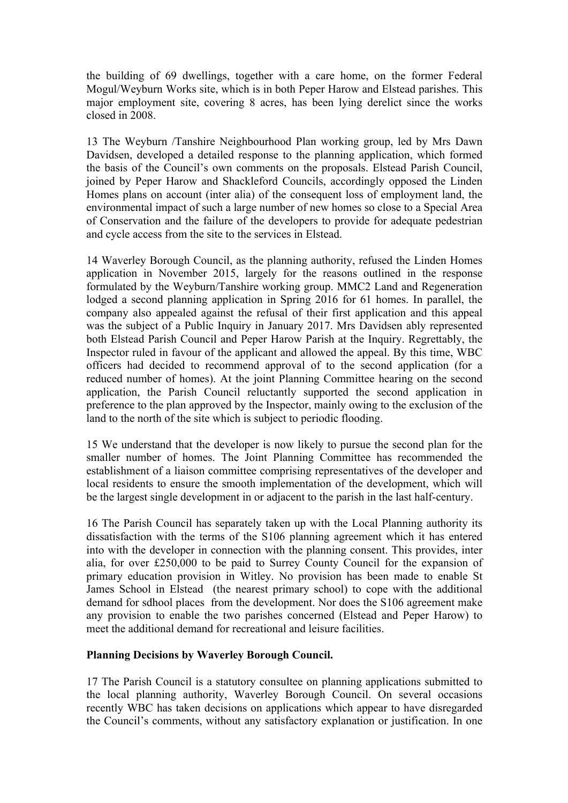the building of 69 dwellings, together with a care home, on the former Federal Mogul/Weyburn Works site, which is in both Peper Harow and Elstead parishes. This major employment site, covering 8 acres, has been lying derelict since the works closed in 2008.

13 The Weyburn /Tanshire Neighbourhood Plan working group, led by Mrs Dawn Davidsen, developed a detailed response to the planning application, which formed the basis of the Council's own comments on the proposals. Elstead Parish Council, joined by Peper Harow and Shackleford Councils, accordingly opposed the Linden Homes plans on account (inter alia) of the consequent loss of employment land, the environmental impact of such a large number of new homes so close to a Special Area of Conservation and the failure of the developers to provide for adequate pedestrian and cycle access from the site to the services in Elstead.

14 Waverley Borough Council, as the planning authority, refused the Linden Homes application in November 2015, largely for the reasons outlined in the response formulated by the Weyburn/Tanshire working group. MMC2 Land and Regeneration lodged a second planning application in Spring 2016 for 61 homes. In parallel, the company also appealed against the refusal of their first application and this appeal was the subject of a Public Inquiry in January 2017. Mrs Davidsen ably represented both Elstead Parish Council and Peper Harow Parish at the Inquiry. Regrettably, the Inspector ruled in favour of the applicant and allowed the appeal. By this time, WBC officers had decided to recommend approval of to the second application (for a reduced number of homes). At the joint Planning Committee hearing on the second application, the Parish Council reluctantly supported the second application in preference to the plan approved by the Inspector, mainly owing to the exclusion of the land to the north of the site which is subject to periodic flooding.

15 We understand that the developer is now likely to pursue the second plan for the smaller number of homes. The Joint Planning Committee has recommended the establishment of a liaison committee comprising representatives of the developer and local residents to ensure the smooth implementation of the development, which will be the largest single development in or adjacent to the parish in the last half-century.

16 The Parish Council has separately taken up with the Local Planning authority its dissatisfaction with the terms of the S106 planning agreement which it has entered into with the developer in connection with the planning consent. This provides, inter alia, for over £250,000 to be paid to Surrey County Council for the expansion of primary education provision in Witley. No provision has been made to enable St James School in Elstead (the nearest primary school) to cope with the additional demand for sdhool places from the development. Nor does the S106 agreement make any provision to enable the two parishes concerned (Elstead and Peper Harow) to meet the additional demand for recreational and leisure facilities.

# **Planning Decisions by Waverley Borough Council.**

17 The Parish Council is a statutory consultee on planning applications submitted to the local planning authority, Waverley Borough Council. On several occasions recently WBC has taken decisions on applications which appear to have disregarded the Council's comments, without any satisfactory explanation or justification. In one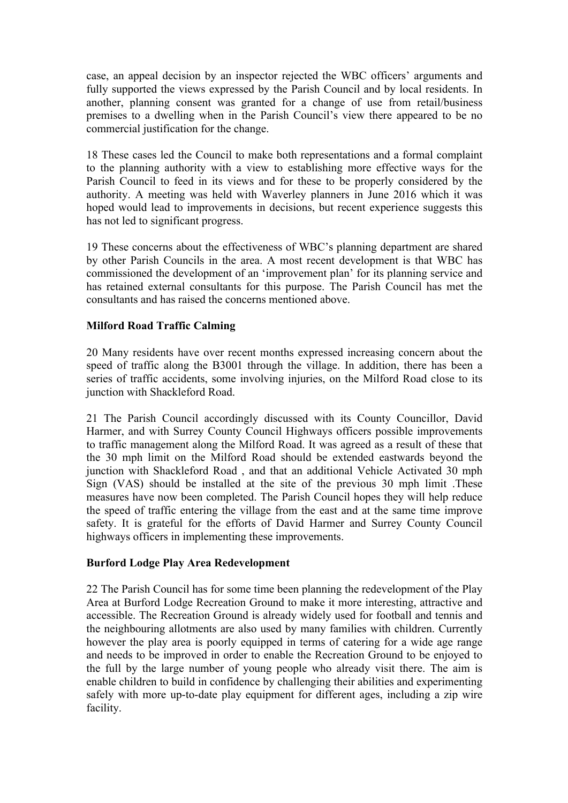case, an appeal decision by an inspector rejected the WBC officers' arguments and fully supported the views expressed by the Parish Council and by local residents. In another, planning consent was granted for a change of use from retail/business premises to a dwelling when in the Parish Council's view there appeared to be no commercial justification for the change.

18 These cases led the Council to make both representations and a formal complaint to the planning authority with a view to establishing more effective ways for the Parish Council to feed in its views and for these to be properly considered by the authority. A meeting was held with Waverley planners in June 2016 which it was hoped would lead to improvements in decisions, but recent experience suggests this has not led to significant progress.

19 These concerns about the effectiveness of WBC's planning department are shared by other Parish Councils in the area. A most recent development is that WBC has commissioned the development of an 'improvement plan' for its planning service and has retained external consultants for this purpose. The Parish Council has met the consultants and has raised the concerns mentioned above.

### **Milford Road Traffic Calming**

20 Many residents have over recent months expressed increasing concern about the speed of traffic along the B3001 through the village. In addition, there has been a series of traffic accidents, some involving injuries, on the Milford Road close to its junction with Shackleford Road.

21 The Parish Council accordingly discussed with its County Councillor, David Harmer, and with Surrey County Council Highways officers possible improvements to traffic management along the Milford Road. It was agreed as a result of these that the 30 mph limit on the Milford Road should be extended eastwards beyond the junction with Shackleford Road , and that an additional Vehicle Activated 30 mph Sign (VAS) should be installed at the site of the previous 30 mph limit .These measures have now been completed. The Parish Council hopes they will help reduce the speed of traffic entering the village from the east and at the same time improve safety. It is grateful for the efforts of David Harmer and Surrey County Council highways officers in implementing these improvements.

#### **Burford Lodge Play Area Redevelopment**

22 The Parish Council has for some time been planning the redevelopment of the Play Area at Burford Lodge Recreation Ground to make it more interesting, attractive and accessible. The Recreation Ground is already widely used for football and tennis and the neighbouring allotments are also used by many families with children. Currently however the play area is poorly equipped in terms of catering for a wide age range and needs to be improved in order to enable the Recreation Ground to be enjoyed to the full by the large number of young people who already visit there. The aim is enable children to build in confidence by challenging their abilities and experimenting safely with more up-to-date play equipment for different ages, including a zip wire facility.